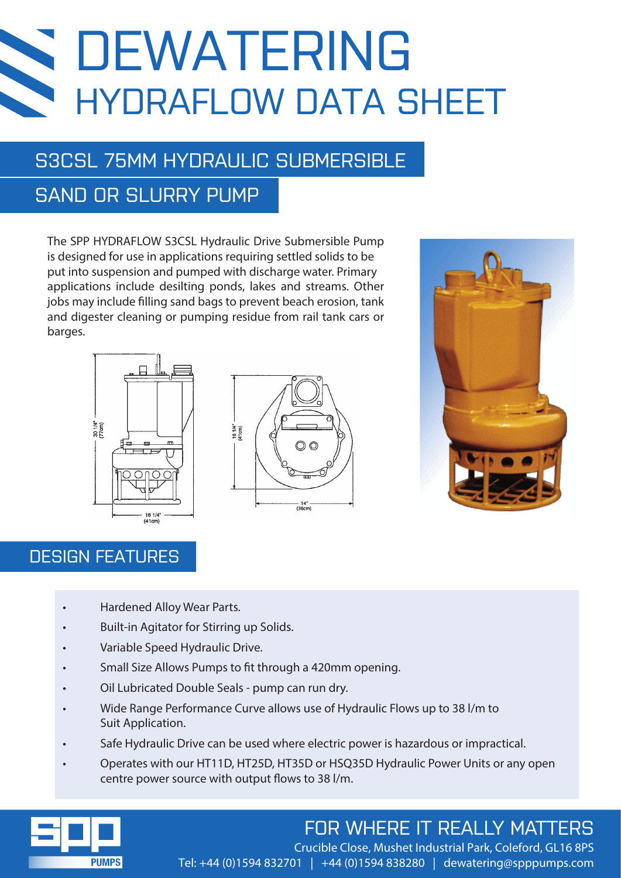# DEWATERING HYDRAFLOW DATA SHEET

## S3CSL 75MM HYDRAULIC SUBMERSIBLE

## SAND OR SLURRY PUMP

The SPP HYDRAFLOW S3CSL Hydraulic Drive Submersible Pump is designed for use in applications requiring settled solids to be put into suspension and pumped with discharge water. Primary applications include desilting ponds, lakes and streams. Other jobs may include filling sand bags to prevent beach erosion, tank and digester cleaning or pumping residue from rail tank cars or barges.





### DESIGN FEATURES

- Hardened Alloy Wear Parts.
- Built-in Agitator for Stirring up Solids.
- Variable Speed Hydraulic Drive.
- Small Size Allows Pumps to fit through a 420mm opening.
- Oil Lubricated Double Seals pump can run dry.
- Wide Range Performance Curve allows use of Hydraulic Flows up to 38 l/m to Suit Application.
- Safe Hydraulic Drive can be used where electric power is hazardous or impractical.
- Operates with our HT11D, HT25D, HT35D or HSQ35D Hydraulic Power Units or any open centre power source with output flows to 38 l/m.



## FOR WHERE IT REALLY MATTERS

Crucible Close, Mushet Industrial Park, Coleford, GL16 8PS Tel: +44 (0)1594 832701 | +44 (0)1594 838280 | dewatering@spppumps.com